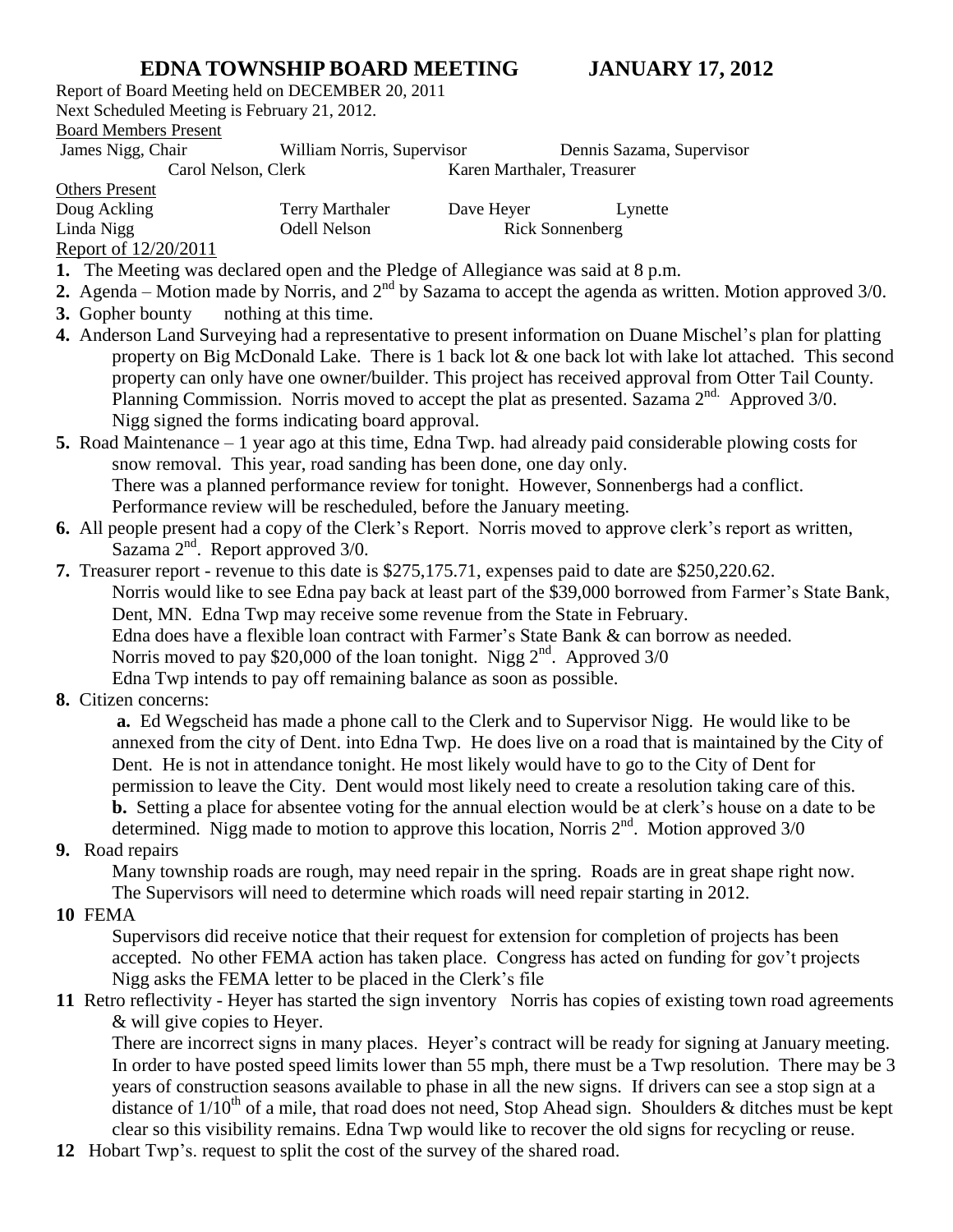## **EDNA TOWNSHIP BOARD MEETING JANUARY 17, 2012**

Report of Board Meeting held on DECEMBER 20, 2011 Next Scheduled Meeting is February 21, 2012.

## Board Members Present

James Nigg, Chair William Norris, Supervisor Dennis Sazama, Supervisor

Carol Nelson, Clerk Karen Marthaler, Treasurer

Others Present

| Doug Ackling           | <b>Terry Marthaler</b> | Dave Heyer      | Lynette |
|------------------------|------------------------|-----------------|---------|
| Linda Nigg             | Odell Nelson           | Rick Sonnenberg |         |
| Report of $12/20/2011$ |                        |                 |         |

**Report of**  $12/20/2011$ 

- **1.** The Meeting was declared open and the Pledge of Allegiance was said at 8 p.m.
- **2.** Agenda Motion made by Norris, and  $2<sup>nd</sup>$  by Sazama to accept the agenda as written. Motion approved  $3/0$ .
- **3.** Gopher bounty nothing at this time.
- **4.** Anderson Land Surveying had a representative to present information on Duane Mischel's plan for platting property on Big McDonald Lake. There is 1 back lot & one back lot with lake lot attached. This second property can only have one owner/builder. This project has received approval from Otter Tail County. Planning Commission. Norris moved to accept the plat as presented. Sazama 2<sup>nd.</sup> Approved 3/0. Nigg signed the forms indicating board approval.
- **5.** Road Maintenance 1 year ago at this time, Edna Twp. had already paid considerable plowing costs for snow removal. This year, road sanding has been done, one day only. There was a planned performance review for tonight. However, Sonnenbergs had a conflict. Performance review will be rescheduled, before the January meeting.
- **6.** All people present had a copy of the Clerk's Report. Norris moved to approve clerk's report as written, Sazama  $2<sup>nd</sup>$ . Report approved  $3/0$ .
- **7.** Treasurer report revenue to this date is \$275,175.71, expenses paid to date are \$250,220.62. Norris would like to see Edna pay back at least part of the \$39,000 borrowed from Farmer's State Bank, Dent, MN. Edna Twp may receive some revenue from the State in February. Edna does have a flexible loan contract with Farmer's State Bank & can borrow as needed. Norris moved to pay \$20,000 of the loan tonight. Nigg  $2<sup>nd</sup>$ . Approved 3/0

Edna Twp intends to pay off remaining balance as soon as possible.

**8.** Citizen concerns:

**a.** Ed Wegscheid has made a phone call to the Clerk and to Supervisor Nigg. He would like to be annexed from the city of Dent. into Edna Twp. He does live on a road that is maintained by the City of Dent. He is not in attendance tonight. He most likely would have to go to the City of Dent for permission to leave the City. Dent would most likely need to create a resolution taking care of this. **b.** Setting a place for absentee voting for the annual election would be at clerk's house on a date to be determined. Nigg made to motion to approve this location, Norris  $2<sup>nd</sup>$ . Motion approved 3/0

**9.** Road repairs

Many township roads are rough, may need repair in the spring. Roads are in great shape right now. The Supervisors will need to determine which roads will need repair starting in 2012.

**10** FEMA

Supervisors did receive notice that their request for extension for completion of projects has been accepted. No other FEMA action has taken place. Congress has acted on funding for gov't projects Nigg asks the FEMA letter to be placed in the Clerk's file

**11** Retro reflectivity - Heyer has started the sign inventory Norris has copies of existing town road agreements & will give copies to Heyer.

There are incorrect signs in many places. Heyer's contract will be ready for signing at January meeting. In order to have posted speed limits lower than 55 mph, there must be a Twp resolution. There may be 3 years of construction seasons available to phase in all the new signs. If drivers can see a stop sign at a distance of  $1/10^{th}$  of a mile, that road does not need, Stop Ahead sign. Shoulders & ditches must be kept clear so this visibility remains. Edna Twp would like to recover the old signs for recycling or reuse.

**12** Hobart Twp's. request to split the cost of the survey of the shared road.